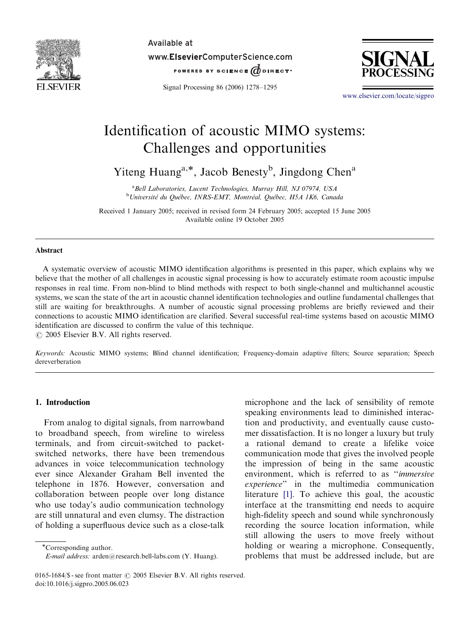

Available at www.ElsevierComputerScience.com





Signal Processing 86 (2006) 1278–1295

<www.elsevier.com/locate/sigpro>

# Identification of acoustic MIMO systems: Challenges and opportunities

Yiteng Huang<sup>a,\*</sup>, Jacob Benesty<sup>b</sup>, Jingdong Chen<sup>a</sup>

<sup>a</sup> Bell Laboratories, Lucent Technologies, Murray Hill, NJ 07974, USA <sup>b</sup>Université du Québec, INRS-EMT, Montréal, Québec, H5A 1K6, Canada

Received 1 January 2005; received in revised form 24 February 2005; accepted 15 June 2005 Available online 19 October 2005

#### Abstract

A systematic overview of acoustic MIMO identification algorithms is presented in this paper, which explains why we believe that the mother of all challenges in acoustic signal processing is how to accurately estimate room acoustic impulse responses in real time. From non-blind to blind methods with respect to both single-channel and multichannel acoustic systems, we scan the state of the art in acoustic channel identification technologies and outline fundamental challenges that still are waiting for breakthroughs. A number of acoustic signal processing problems are briefly reviewed and their connections to acoustic MIMO identification are clarified. Several successful real-time systems based on acoustic MIMO identification are discussed to confirm the value of this technique.

 $\odot$  2005 Elsevier B.V. All rights reserved.

Keywords: Acoustic MIMO systems; Blind channel identification; Frequency-domain adaptive filters; Source separation; Speech dereverberation

#### 1. Introduction

From analog to digital signals, from narrowband to broadband speech, from wireline to wireless terminals, and from circuit-switched to packetswitched networks, there have been tremendous advances in voice telecommunication technology ever since Alexander Graham Bell invented the telephone in 1876. However, conversation and collaboration between people over long distance who use today's audio communication technology are still unnatural and even clumsy. The distraction of holding a superfluous device such as a close-talk

microphone and the lack of sensibility of remote speaking environments lead to diminished interaction and productivity, and eventually cause customer dissatisfaction. It is no longer a luxury but truly a rational demand to create a lifelike voice communication mode that gives the involved people the impression of being in the same acoustic environment, which is referred to as ''immersive experience'' in the multimedia communication literature [\[1\].](#page-15-0) To achieve this goal, the acoustic interface at the transmitting end needs to acquire high-fidelity speech and sound while synchronously recording the source location information, while still allowing the users to move freely without holding or wearing a microphone. Consequently, problems that must be addressed include, but are

Corresponding author.

E-mail address: arden@research.bell-labs.com (Y. Huang).

<sup>0165-1684/\$ -</sup> see front matter  $\odot$  2005 Elsevier B.V. All rights reserved. doi:10.1016/j.sigpro.2005.06.023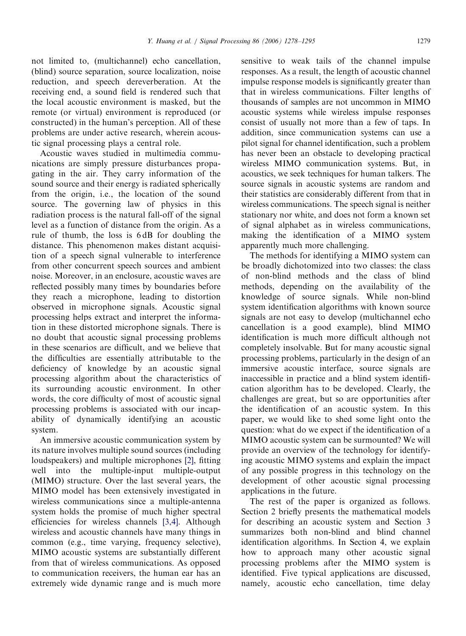not limited to, (multichannel) echo cancellation, (blind) source separation, source localization, noise reduction, and speech dereverberation. At the receiving end, a sound field is rendered such that the local acoustic environment is masked, but the remote (or virtual) environment is reproduced (or constructed) in the human's perception. All of these problems are under active research, wherein acoustic signal processing plays a central role.

Acoustic waves studied in multimedia communications are simply pressure disturbances propagating in the air. They carry information of the sound source and their energy is radiated spherically from the origin, i.e., the location of the sound source. The governing law of physics in this radiation process is the natural fall-off of the signal level as a function of distance from the origin. As a rule of thumb, the loss is 6 dB for doubling the distance. This phenomenon makes distant acquisition of a speech signal vulnerable to interference from other concurrent speech sources and ambient noise. Moreover, in an enclosure, acoustic waves are reflected possibly many times by boundaries before they reach a microphone, leading to distortion observed in microphone signals. Acoustic signal processing helps extract and interpret the information in these distorted microphone signals. There is no doubt that acoustic signal processing problems in these scenarios are difficult, and we believe that the difficulties are essentially attributable to the deficiency of knowledge by an acoustic signal processing algorithm about the characteristics of its surrounding acoustic environment. In other words, the core difficulty of most of acoustic signal processing problems is associated with our incapability of dynamically identifying an acoustic system.

An immersive acoustic communication system by its nature involves multiple sound sources (including loudspeakers) and multiple microphones [\[2\]](#page-15-0), fitting well into the multiple-input multiple-output (MIMO) structure. Over the last several years, the MIMO model has been extensively investigated in wireless communications since a multiple-antenna system holds the promise of much higher spectral efficiencies for wireless channels [\[3,4\]](#page-15-0). Although wireless and acoustic channels have many things in common (e.g., time varying, frequency selective), MIMO acoustic systems are substantially different from that of wireless communications. As opposed to communication receivers, the human ear has an extremely wide dynamic range and is much more

sensitive to weak tails of the channel impulse responses. As a result, the length of acoustic channel impulse response models is significantly greater than that in wireless communications. Filter lengths of thousands of samples are not uncommon in MIMO acoustic systems while wireless impulse responses consist of usually not more than a few of taps. In addition, since communication systems can use a pilot signal for channel identification, such a problem has never been an obstacle to developing practical wireless MIMO communication systems. But, in acoustics, we seek techniques for human talkers. The source signals in acoustic systems are random and their statistics are considerably different from that in wireless communications. The speech signal is neither stationary nor white, and does not form a known set of signal alphabet as in wireless communications, making the identification of a MIMO system apparently much more challenging.

The methods for identifying a MIMO system can be broadly dichotomized into two classes: the class of non-blind methods and the class of blind methods, depending on the availability of the knowledge of source signals. While non-blind system identification algorithms with known source signals are not easy to develop (multichannel echo cancellation is a good example), blind MIMO identification is much more difficult although not completely insolvable. But for many acoustic signal processing problems, particularly in the design of an immersive acoustic interface, source signals are inaccessible in practice and a blind system identification algorithm has to be developed. Clearly, the challenges are great, but so are opportunities after the identification of an acoustic system. In this paper, we would like to shed some light onto the question: what do we expect if the identification of a MIMO acoustic system can be surmounted? We will provide an overview of the technology for identifying acoustic MIMO systems and explain the impact of any possible progress in this technology on the development of other acoustic signal processing applications in the future.

The rest of the paper is organized as follows. Section 2 briefly presents the mathematical models for describing an acoustic system and Section 3 summarizes both non-blind and blind channel identification algorithms. In Section 4, we explain how to approach many other acoustic signal processing problems after the MIMO system is identified. Five typical applications are discussed, namely, acoustic echo cancellation, time delay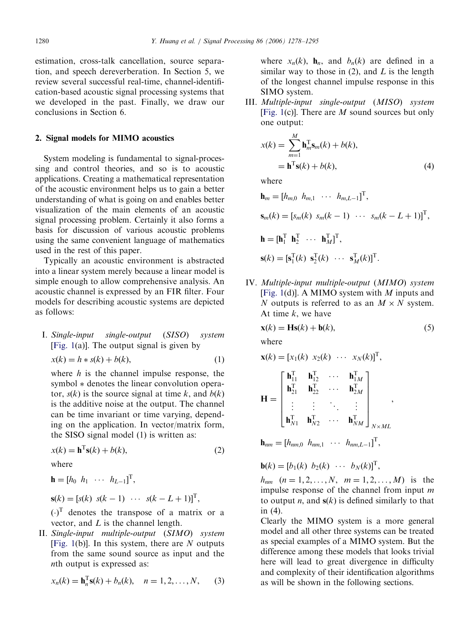estimation, cross-talk cancellation, source separation, and speech dereverberation. In Section 5, we review several successful real-time, channel-identification-based acoustic signal processing systems that we developed in the past. Finally, we draw our conclusions in Section 6.

## 2. Signal models for MIMO acoustics

System modeling is fundamental to signal-processing and control theories, and so is to acoustic applications. Creating a mathematical representation of the acoustic environment helps us to gain a better understanding of what is going on and enables better visualization of the main elements of an acoustic signal processing problem. Certainly it also forms a basis for discussion of various acoustic problems using the same convenient language of mathematics used in the rest of this paper.

Typically an acoustic environment is abstracted into a linear system merely because a linear model is simple enough to allow comprehensive analysis. An acoustic channel is expressed by an FIR filter. Four models for describing acoustic systems are depicted as follows:

I. Single-input single-output (SISO) system [Fig.  $1(a)$ ]. The output signal is given by

$$
x(k) = h * s(k) + b(k),\tag{1}
$$

where  $h$  is the channel impulse response, the symbol  $*$  denotes the linear convolution operator,  $s(k)$  is the source signal at time k, and  $b(k)$ is the additive noise at the output. The channel can be time invariant or time varying, depending on the application. In vector/matrix form, the SISO signal model (1) is written as:

$$
x(k) = \mathbf{h}^{\mathrm{T}}\mathbf{s}(k) + b(k),
$$
 (2) where

$$
\mathbf{h} = [h_0 \ \ h_1 \ \ \cdots \ \ h_{L-1}]^{\mathrm{T}},
$$

$$
\mathbf{s}(k) = [s(k) \ \ s(k-1) \ \ \cdots \ \ s(k-L+1)]^{T},
$$

 $(\cdot)^T$  denotes the transpose of a matrix or a vector, and  $L$  is the channel length.

II. Single-input multiple-output (SIMO) system [\[Fig. 1\(](#page-3-0)b)]. In this system, there are  $N$  outputs from the same sound source as input and the nth output is expressed as:

$$
x_n(k) = \mathbf{h}_n^{\mathrm{T}} \mathbf{s}(k) + b_n(k), \quad n = 1, 2, \dots, N,
$$
 (3)

where  $x_n(k)$ ,  $h_n$ , and  $b_n(k)$  are defined in a similar way to those in  $(2)$ , and L is the length of the longest channel impulse response in this SIMO system.

III. Multiple-input single-output (MISO) system [\[Fig. 1](#page-3-0)(c)]. There are  $M$  sound sources but only one output:

$$
x(k) = \sum_{m=1}^{M} \mathbf{h}_m^{\mathrm{T}} \mathbf{s}_m(k) + b(k),
$$
  
=  $\mathbf{h}^{\mathrm{T}} \mathbf{s}(k) + b(k),$  (4)

where

$$
\mathbf{h}_m = [h_{m,0} \ h_{m,1} \ \cdots \ h_{m,L-1}]^{\mathrm{T}},
$$
  
\n
$$
\mathbf{s}_m(k) = [s_m(k) \ s_m(k-1) \ \cdots \ s_m(k-L+1)]^{\mathrm{T}},
$$
  
\n
$$
\mathbf{h} = [\mathbf{h}_1^{\mathrm{T}} \ \mathbf{h}_2^{\mathrm{T}} \ \cdots \ \mathbf{h}_M^{\mathrm{T}}]^{\mathrm{T}},
$$
  
\n
$$
\mathbf{s}(k) = [s_1^{\mathrm{T}}(k) \ s_2^{\mathrm{T}}(k) \ \cdots \ s_M^{\mathrm{T}}(k)]^{\mathrm{T}}.
$$

IV. Multiple-input multiple-output (MIMO) system [\[Fig. 1](#page-3-0)(d)]. A MIMO system with  $M$  inputs and N outputs is referred to as an  $M \times N$  system. At time  $k$ , we have

$$
\mathbf{x}(k) = \mathbf{H}\mathbf{s}(k) + \mathbf{b}(k),
$$
 (5) where

,

$$
\mathbf{x}(k) = \begin{bmatrix} x_1(k) & x_2(k) & \cdots & x_N(k) \end{bmatrix}^T,
$$

$$
\mathbf{H} = \begin{bmatrix} \mathbf{h}_{11}^T & \mathbf{h}_{12}^T & \cdots & \mathbf{h}_{1M}^T \\ \mathbf{h}_{21}^T & \mathbf{h}_{22}^T & \cdots & \mathbf{h}_{2M}^T \\ \vdots & \vdots & \ddots & \vdots \\ \mathbf{h}_{N1}^T & \mathbf{h}_{N2}^T & \cdots & \mathbf{h}_{NM}^T \end{bmatrix}_{N \times ML}
$$

$$
\mathbf{h}_{nm}=[h_{nm,0}\ \ h_{nm,1}\ \ \cdots\ \ h_{nm,L-1}]^{\mathrm{T}},
$$

$$
\mathbf{b}(k) = [b_1(k) \ b_2(k) \ \cdots \ b_N(k)]^{\mathrm{T}},
$$

 $h_{nm}$   $(n = 1, 2, ..., N, m = 1, 2, ..., M)$  is the impulse response of the channel from input  $m$ to output *n*, and  $s(k)$  is defined similarly to that in (4).

Clearly the MIMO system is a more general model and all other three systems can be treated as special examples of a MIMO system. But the difference among these models that looks trivial here will lead to great divergence in difficulty and complexity of their identification algorithms as will be shown in the following sections.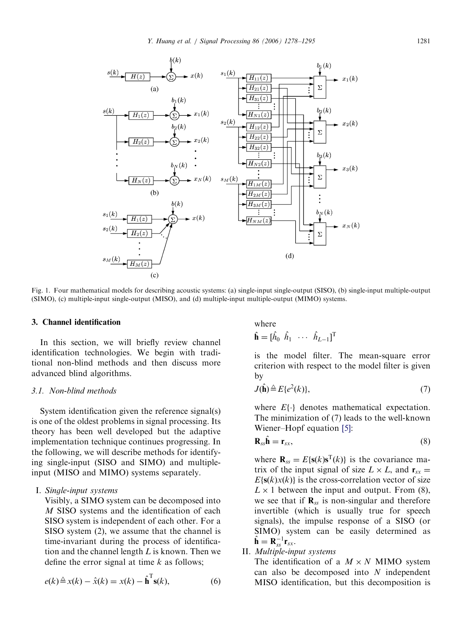<span id="page-3-0"></span>

Fig. 1. Four mathematical models for describing acoustic systems: (a) single-input single-output (SISO), (b) single-input multiple-output (SIMO), (c) multiple-input single-output (MISO), and (d) multiple-input multiple-output (MIMO) systems.

#### 3. Channel identification

In this section, we will briefly review channel identification technologies. We begin with traditional non-blind methods and then discuss more advanced blind algorithms.

# 3.1. Non-blind methods

System identification given the reference signal(s) is one of the oldest problems in signal processing. Its theory has been well developed but the adaptive implementation technique continues progressing. In the following, we will describe methods for identifying single-input (SISO and SIMO) and multipleinput (MISO and MIMO) systems separately.

# I. Single-input systems

Visibly, a SIMO system can be decomposed into M SISO systems and the identification of each SISO system is independent of each other. For a SISO system (2), we assume that the channel is time-invariant during the process of identification and the channel length  $L$  is known. Then we define the error signal at time  $k$  as follows;

$$
e(k) \triangleq x(k) - \hat{x}(k) = x(k) - \hat{\mathbf{h}}^{\mathrm{T}} \mathbf{s}(k),\tag{6}
$$

where  $\hat{\mathbf{h}} = [\hat{h}_0 \ \hat{h}_1 \ \cdots \ \hat{h}_{L-1}]^{\mathrm{T}}$ 

is the model filter. The mean-square error criterion with respect to the model filter is given by

$$
J(\hat{\mathbf{h}}) \triangleq E\{e^2(k)\},\tag{7}
$$

where  $E\{\cdot\}$  denotes mathematical expectation. The minimization of (7) leads to the well-known Wiener–Hopf equation [\[5\]](#page-15-0):

$$
\mathbf{R}_{ss}\hat{\mathbf{h}} = \mathbf{r}_{sx},\tag{8}
$$

where  $\mathbf{R}_{ss} = E\{s(k)s^{T}(k)\}\$ is the covariance matrix of the input signal of size  $L \times L$ , and  $\mathbf{r}_{sx} =$  $E{s(k)x(k)}$  is the cross-correlation vector of size  $L \times 1$  between the input and output. From (8), we see that if  $\mathbf{R}_{ss}$  is non-singular and therefore invertible (which is usually true for speech signals), the impulse response of a SISO (or SIMO) system can be easily determined as  $\hat{\mathbf{h}} = \mathbf{R}^{-1}_{ss} \mathbf{r}_{sx}.$ 

II. Multiple-input systems

The identification of a  $M \times N$  MIMO system can also be decomposed into  $N$  independent MISO identification, but this decomposition is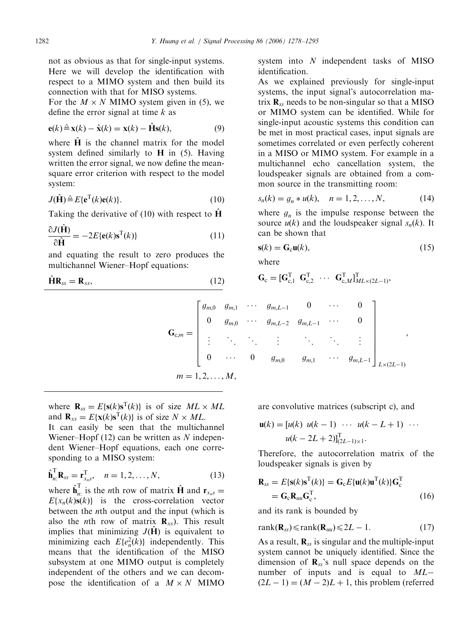not as obvious as that for single-input systems. Here we will develop the identification with respect to a MIMO system and then build its connection with that for MISO systems.

For the  $M \times N$  MIMO system given in (5), we define the error signal at time  $k$  as

$$
\mathbf{e}(k) \triangleq \mathbf{x}(k) - \hat{\mathbf{x}}(k) = \mathbf{x}(k) - \hat{\mathbf{H}}\mathbf{s}(k),\tag{9}
$$

where  $\hat{H}$  is the channel matrix for the model system defined similarly to  $H$  in  $(5)$ . Having written the error signal, we now define the meansquare error criterion with respect to the model system:

$$
J(\hat{\mathbf{H}}) \triangleq E\{\mathbf{e}^{\mathrm{T}}(k)\mathbf{e}(k)\}.
$$
 (10)

Taking the derivative of (10) with respect to  $\hat{H}$ 

$$
\frac{\partial J(\hat{\mathbf{H}})}{\partial \hat{\mathbf{H}}} = -2E\{\mathbf{e}(k)\mathbf{s}^{\mathrm{T}}(k)\}\tag{11}
$$

and equating the result to zero produces the multichannel Wiener–Hopf equations:

$$
\hat{\mathbf{H}}\mathbf{R}_{ss} = \mathbf{R}_{xs},\tag{12}
$$

system into 
$$
N
$$
 independent tasks of MISO identification.

As we explained previously for single-input systems, the input signal's autocorrelation matrix  $\mathbf{R}_{ss}$  needs to be non-singular so that a MISO or MIMO system can be identified. While for single-input acoustic systems this condition can be met in most practical cases, input signals are sometimes correlated or even perfectly coherent in a MISO or MIMO system. For example in a multichannel echo cancellation system, the loudspeaker signals are obtained from a common source in the transmitting room:

$$
s_n(k) = g_n * u(k), \quad n = 1, 2, ..., N,
$$
 (14)

where  $g_n$  is the impulse response between the source  $u(k)$  and the loudspeaker signal  $s_n(k)$ . It can be shown that

$$
\mathbf{s}(k) = \mathbf{G}_{\rm c}\mathbf{u}(k),\tag{15}
$$

,

where

$$
\mathbf{G}_{\mathrm{c}}=[\mathbf{G}_{\mathrm{c},1}^{\mathrm{T}} \ \ \mathbf{G}_{\mathrm{c},2}^{\mathrm{T}} \ \ \cdots \ \ \mathbf{G}_{\mathrm{c},M}^{\mathrm{T}}]_{ML \times (2L-1)}^{\mathrm{T}},
$$

$$
\begin{array}{ccccccccc}\ng_{m,0} & g_{m,1} & \cdots & g_{m,L-1} & 0 & \cdots & 0 \\
0 & g_{m,0} & \cdots & g_{m,L-2} & g_{m,L-1} & \cdots & 0 \\
\vdots & \ddots & \ddots & \vdots & \ddots & \ddots & \vdots \\
0 & \cdots & 0 & g_{m,0} & g_{m,1} & \cdots & g_{m,L-1} \n\end{array}
$$

$$
m=1,2,\ldots,M,
$$

 $\overline{1}$ 

 $\begin{array}{c|c|c|c|c} \hline \multicolumn{1}{|c|}{1} & \multicolumn{1}{|c|}{1} \\\hline \multicolumn{1}{|c|}{1} & \multicolumn{1}{|c|}{1} \\\hline \multicolumn{1}{|c|}{1} & \multicolumn{1}{|c|}{1} \\\hline \multicolumn{1}{|c|}{1} & \multicolumn{1}{|c|}{1} \\\hline \multicolumn{1}{|c|}{1} & \multicolumn{1}{|c|}{1} \\\hline \multicolumn{1}{|c|}{1} & \multicolumn{1}{|c|}{1} \\\hline \multicolumn{1}{|c|}{1} & \mult$ 

 $\mathbf{G}_{\mathrm{c},m}=% \begin{bmatrix} \omega_{0}-i\frac{\gamma_{\mathrm{c}}}{2} & g_{\mathrm{c},m} & g_{\mathrm{c},m} & g_{\mathrm{c},m} & g_{\mathrm{c},m} & g_{\mathrm{c},m} \end{bmatrix} \label{G}$ 

where  $\mathbf{R}_{ss} = E\{s(k)s^{T}(k)\}\$ is of size  $ML \times ML$ and  $\mathbf{R}_{xs} = E\{\mathbf{x}(k)\mathbf{s}^{\mathrm{T}}(k)\}\$ is of size  $N \times ML$ .

It can easily be seen that the multichannel Wiener–Hopf  $(12)$  can be written as N independent Wiener–Hopf equations, each one corresponding to a MISO system:

$$
\hat{\mathbf{h}}_n^{\mathrm{T}} \mathbf{R}_{ss} = \mathbf{r}_{x_n s}^{\mathrm{T}}, \quad n = 1, 2, \dots, N,
$$
\n(13)

where  $\hat{\mathbf{h}}_{n}^{\text{T}}$  is the *n*th row of matrix  $\hat{\mathbf{H}}$  and  $\mathbf{r}_{x_n s} =$  $E{x_n(k)s(k)}$  is the cross-correlation vector between the nth output and the input (which is also the *n*th row of matrix  $\mathbf{R}_{xs}$ ). This result implies that minimizing  $J(H)$  is equivalent to minimizing each  $E\{e_n^2(k)\}\$  independently. This means that the identification of the MISO subsystem at one MIMO output is completely independent of the others and we can decompose the identification of a  $M \times N$  MIMO are convolutive matrices (subscript c), and

$$
\mathbf{u}(k) = [u(k) \ u(k-1) \ \cdots \ u(k-L+1) \ \cdots \ u(k-2L+2)]_{(2L-1)\times 1}^{T}.
$$

Therefore, the autocorrelation matrix of the loudspeaker signals is given by

$$
\mathbf{R}_{ss} = E\{\mathbf{s}(k)\mathbf{s}^{\mathrm{T}}(k)\} = \mathbf{G}_{c}E\{\mathbf{u}(k)\mathbf{u}^{\mathrm{T}}(k)\}\mathbf{G}_{c}^{\mathrm{T}}
$$

$$
= \mathbf{G}_{c}\mathbf{R}_{uu}\mathbf{G}_{c}^{\mathrm{T}}, \qquad (16)
$$

and its rank is bounded by

$$
rank(\mathbf{R}_{ss}) \leqslant rank(\mathbf{R}_{uu}) \leqslant 2L - 1. \tag{17}
$$

As a result,  $\mathbf{R}_{ss}$  is singular and the multiple-input system cannot be uniquely identified. Since the dimension of  $\mathbf{R}_{ss}$ 's null space depends on the number of inputs and is equal to  $ML (2L - 1) = (M - 2)L + 1$ , this problem (referred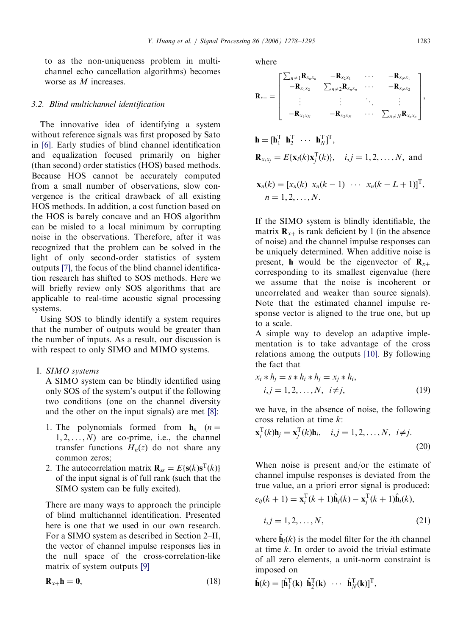to as the non-uniqueness problem in multichannel echo cancellation algorithms) becomes worse as M increases.

## 3.2. Blind multichannel identification

The innovative idea of identifying a system without reference signals was first proposed by Sato in [\[6\]](#page-15-0). Early studies of blind channel identification and equalization focused primarily on higher (than second) order statistics (HOS) based methods. Because HOS cannot be accurately computed from a small number of observations, slow convergence is the critical drawback of all existing HOS methods. In addition, a cost function based on the HOS is barely concave and an HOS algorithm can be misled to a local minimum by corrupting noise in the observations. Therefore, after it was recognized that the problem can be solved in the light of only second-order statistics of system outputs [\[7\]](#page-15-0), the focus of the blind channel identification research has shifted to SOS methods. Here we will briefly review only SOS algorithms that are applicable to real-time acoustic signal processing systems.

Using SOS to blindly identify a system requires that the number of outputs would be greater than the number of inputs. As a result, our discussion is with respect to only SIMO and MIMO systems.

#### I. SIMO systems

A SIMO system can be blindly identified using only SOS of the system's output if the following two conditions (one on the channel diversity and the other on the input signals) are met [\[8\]](#page-15-0):

- 1. The polynomials formed from  $h_n$  (*n* =  $1, 2, \ldots, N$  are co-prime, i.e., the channel transfer functions  $H_n(z)$  do not share any common zeros;
- 2. The autocorrelation matrix  $\mathbf{R}_{ss} = E\{\mathbf{s}(k)\mathbf{s}^{\mathrm{T}}(k)\}\$ of the input signal is of full rank (such that the SIMO system can be fully excited).

There are many ways to approach the principle of blind multichannel identification. Presented here is one that we used in our own research. For a SIMO system as described in Section 2–II, the vector of channel impulse responses lies in the null space of the cross-correlation-like matrix of system outputs [\[9\]](#page-15-0)

$$
\mathbf{R}_{x+}\mathbf{h}=\mathbf{0},\tag{18}
$$

where

$$
\mathbf{R}_{x+} = \begin{bmatrix} \sum_{n \neq 1} \mathbf{R}_{x_n x_n} & -\mathbf{R}_{x_2 x_1} & \cdots & -\mathbf{R}_{x_N x_1} \\ -\mathbf{R}_{x_1 x_2} & \sum_{n \neq 2} \mathbf{R}_{x_n x_n} & \cdots & -\mathbf{R}_{x_N x_2} \\ \vdots & \vdots & \ddots & \vdots \\ -\mathbf{R}_{x_1 x_N} & -\mathbf{R}_{x_2 x_N} & \cdots & \sum_{n \neq N} \mathbf{R}_{x_n x_n} \end{bmatrix},
$$

$$
\mathbf{h} = [\mathbf{h}_1^{\mathrm{T}} \ \mathbf{h}_2^{\mathrm{T}} \ \cdots \ \mathbf{h}_N^{\mathrm{T}}]^{\mathrm{T}},
$$
  

$$
\mathbf{R}_{x_i x_j} = E\{\mathbf{x}_i(k)\mathbf{x}_j^{\mathrm{T}}(k)\}, \quad i, j = 1, 2, \dots, N, \text{ and}
$$

$$
\mathbf{x}_n(k) = [x_n(k) \ x_n(k-1) \ \cdots \ x_n(k-L+1)]^T,
$$
  
\n
$$
n = 1, 2, ..., N.
$$

If the SIMO system is blindly identifiable, the matrix  $\mathbf{R}_{x+}$  is rank deficient by 1 (in the absence of noise) and the channel impulse responses can be uniquely determined. When additive noise is present, **h** would be the eigenvector of  $\mathbf{R}_{x+}$ corresponding to its smallest eigenvalue (here we assume that the noise is incoherent or uncorrelated and weaker than source signals). Note that the estimated channel impulse response vector is aligned to the true one, but up to a scale.

A simple way to develop an adaptive implementation is to take advantage of the cross relations among the outputs [\[10\].](#page-15-0) By following the fact that

$$
x_i * h_j = s * h_i * h_j = x_j * h_i,i,j = 1,2,..., N, i \neq j,
$$
 (19)

we have, in the absence of noise, the following cross relation at time k:

$$
\mathbf{x}_i^{\mathrm{T}}(k)\mathbf{h}_j = \mathbf{x}_j^{\mathrm{T}}(k)\mathbf{h}_i, \quad i, j = 1, 2, \dots, N, \quad i \neq j.
$$
\n(20)

When noise is present and/or the estimate of channel impulse responses is deviated from the true value, an a priori error signal is produced:

$$
e_{ij}(k+1) = \mathbf{x}_i^{\mathrm{T}}(k+1)\hat{\mathbf{h}}_j(k) - \mathbf{x}_j^{\mathrm{T}}(k+1)\hat{\mathbf{h}}_i(k),
$$
  

$$
i, j = 1, 2, ..., N,
$$
 (21)

where  $\hat{\mathbf{h}}_i(k)$  is the model filter for the *i*th channel at time  $k$ . In order to avoid the trivial estimate of all zero elements, a unit-norm constraint is imposed on

$$
\hat{\mathbf{h}}(k) = [\hat{\mathbf{h}}_1^{\mathrm{T}}(\mathbf{k}) \ \hat{\mathbf{h}}_2^{\mathrm{T}}(\mathbf{k}) \ \cdots \ \hat{\mathbf{h}}_N^{\mathrm{T}}(\mathbf{k})]^{\mathrm{T}},
$$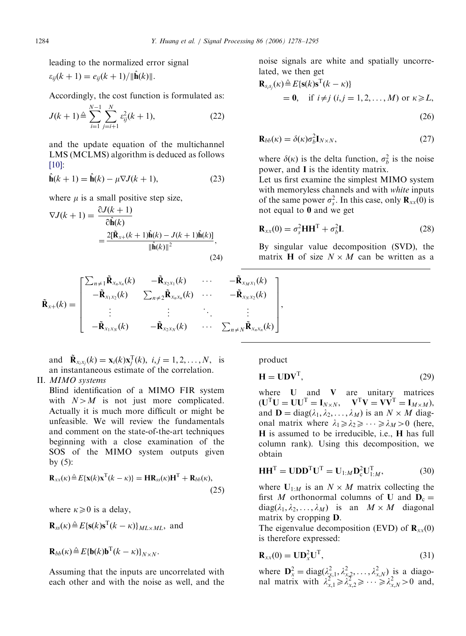leading to the normalized error signal

$$
\varepsilon_{ij}(k+1) = e_{ij}(k+1)/\|\hat{\mathbf{h}}(k)\|.
$$

Accordingly, the cost function is formulated as:

$$
J(k+1) \triangleq \sum_{i=1}^{N-1} \sum_{j=i+1}^{N} \varepsilon_{ij}^{2}(k+1),
$$
 (22)

and the update equation of the multichannel LMS (MCLMS) algorithm is deduced as follows [\[10\]:](#page-15-0)

$$
\hat{\mathbf{h}}(k+1) = \hat{\mathbf{h}}(k) - \mu \nabla J(k+1),\tag{23}
$$

where  $\mu$  is a small positive step size,

$$
\nabla J(k+1) = \frac{\partial J(k+1)}{\partial \hat{\mathbf{h}}(k)}
$$
  
= 
$$
\frac{2[\tilde{\mathbf{R}}_{x+}(k+1)\hat{\mathbf{h}}(k) - J(k+1)\hat{\mathbf{h}}(k)]}{\|\hat{\mathbf{h}}(k)\|^2},
$$
(24)

$$
\tilde{\mathbf{R}}_{x+}(k) = \begin{bmatrix}\n\sum_{n \neq 1} \tilde{\mathbf{R}}_{x_n x_n}(k) & -\tilde{\mathbf{R}}_{x_2 x_1}(k) & \cdots & -\tilde{\mathbf{R}}_{x_M x_1}(k) \\
-\tilde{\mathbf{R}}_{x_1 x_2}(k) & \sum_{n \neq 2} \tilde{\mathbf{R}}_{x_n x_n}(k) & \cdots & -\tilde{\mathbf{R}}_{x_N x_2}(k) \\
\vdots & \vdots & \ddots & \vdots \\
-\tilde{\mathbf{R}}_{x_1 x_N}(k) & -\tilde{\mathbf{R}}_{x_2 x_N}(k) & \cdots & \sum_{n \neq N} \tilde{\mathbf{R}}_{x_n x_n}(k)\n\end{bmatrix}
$$

and  $\tilde{\mathbf{R}}_{x_i x_j}(k) = \mathbf{x}_i(k) \mathbf{x}_j^{\mathrm{T}}(k), i, j = 1, 2, \dots, N,$  is an instantaneous estimate of the correlation.

# II. MIMO systems

Blind identification of a MIMO FIR system with  $N > M$  is not just more complicated. Actually it is much more difficult or might be unfeasible. We will review the fundamentals and comment on the state-of-the-art techniques beginning with a close examination of the SOS of the MIMO system outputs given by  $(5)$ :

$$
\mathbf{R}_{xx}(\kappa) \triangleq E\{\mathbf{x}(k)\mathbf{x}^{\mathrm{T}}(k-\kappa)\} = \mathbf{H}\mathbf{R}_{ss}(\kappa)\mathbf{H}^{\mathrm{T}} + \mathbf{R}_{bb}(\kappa),
$$
\n(25)

where  $\kappa \geq 0$  is a delay,

$$
\mathbf{R}_{ss}(\kappa) \triangleq E\{\mathbf{s}(k)\mathbf{s}^{\mathrm{T}}(k-\kappa)\}_{ML\times ML}, \text{ and}
$$

$$
\mathbf{R}_{bb}(\kappa) \triangleq E\{\mathbf{b}(k)\mathbf{b}^{\mathrm{T}}(k-\kappa)\}_{N\times N}.
$$

Assuming that the inputs are uncorrelated with each other and with the noise as well, and the noise signals are white and spatially uncorrelated, we then get

$$
\mathbf{R}_{s_i s_j}(\kappa) \stackrel{\Delta}{=} E\{\mathbf{s}(k)\mathbf{s}^{\mathrm{T}}(k-\kappa)\}
$$
  
= **0**, if  $i \neq j$   $(i,j = 1, 2, ..., M)$  or  $\kappa \geq L$ ,

$$
(26)
$$

$$
\mathbf{R}_{bb}(\kappa) = \delta(\kappa)\sigma_b^2 \mathbf{I}_{N \times N},\tag{27}
$$

where  $\delta(\kappa)$  is the delta function,  $\sigma_b^2$  is the noise power, and I is the identity matrix.

Let us first examine the simplest MIMO system with memoryless channels and with white inputs of the same power  $\sigma_s^2$ . In this case, only  $\mathbf{R}_{xx}(0)$  is not equal to 0 and we get

$$
\mathbf{R}_{xx}(0) = \sigma_s^2 \mathbf{H} \mathbf{H}^{\mathrm{T}} + \sigma_b^2 \mathbf{I}.
$$
 (28)

By singular value decomposition (SVD), the matrix H of size  $N \times M$  can be written as a

product

 $\overline{1}$  $\overline{1}$  $\overline{1}$  $\overline{1}$  $\overline{1}$  $\overline{1}$  $\overline{1}$ ,

$$
\mathbf{H} = \mathbf{U}\mathbf{D}\mathbf{V}^{\mathrm{T}},\tag{29}
$$

where  $U$  and  $V$  are unitary matrices  $(\mathbf{U}^{\mathrm{T}}\mathbf{U} = \mathbf{U}\mathbf{U}^{\mathrm{T}} = \mathbf{I}_{N\times N}, \quad \mathbf{V}^{\mathrm{T}}\mathbf{V} = \mathbf{V}\check{\mathbf{V}}^{\mathrm{T}} = \mathbf{I}_{M\times M}),$ and  $\mathbf{D} = \text{diag}(\lambda_1, \lambda_2, \dots, \lambda_M)$  is an  $N \times M$  diagonal matrix where  $\lambda_1 \geq \lambda_2 \geq \cdots \geq \lambda_M > 0$  (here, H is assumed to be irreducible, i.e., H has full column rank). Using this decomposition, we obtain

$$
\mathbf{H}\mathbf{H}^{\mathrm{T}} = \mathbf{U}\mathbf{D}\mathbf{D}^{\mathrm{T}}\mathbf{U}^{\mathrm{T}} = \mathbf{U}_{1:M}\mathbf{D}_{\mathrm{c}}^2\mathbf{U}_{1:M}^{\mathrm{T}},\tag{30}
$$

where  $U_{1:M}$  is an  $N \times M$  matrix collecting the first M orthonormal columns of U and  $D_c =$  $diag(\lambda_1, \lambda_2, \ldots, \lambda_M)$  is an  $M \times M$  diagonal matrix by cropping D.

The eigenvalue decomposition (EVD) of  $\mathbf{R}_{xx}(0)$ is therefore expressed:

$$
\mathbf{R}_{xx}(0) = \mathbf{U} \mathbf{D}_x^2 \mathbf{U}^{\mathrm{T}},\tag{31}
$$

where  $\mathbf{D}_x^2 = \text{diag}(\lambda_{x,1}^2, \lambda_{x,2}^2, \dots, \lambda_{x,N}^2)$  is a diagonal matrix with  $\lambda_{x,1}^{2} \geq \lambda_{x,2}^{2} \geq \cdots \geq \lambda_{x,N}^{2} > 0$  and,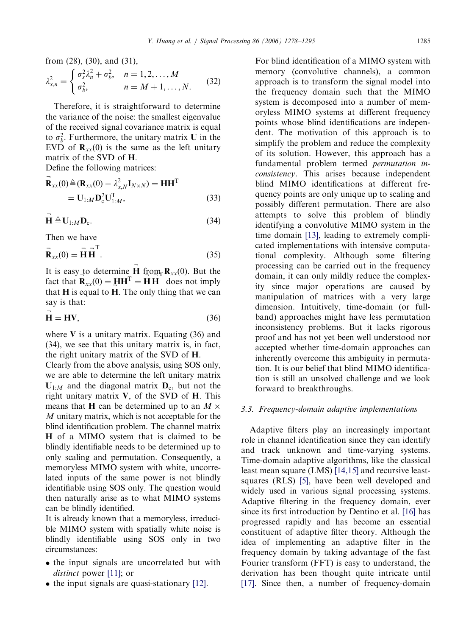from (28), (30), and (31),

$$
\lambda_{x,n}^2 = \begin{cases} \sigma_s^2 \lambda_n^2 + \sigma_b^2, & n = 1, 2, ..., M \\ \sigma_b^2, & n = M + 1, ..., N. \end{cases}
$$
 (32)

Therefore, it is straightforward to determine the variance of the noise: the smallest eigenvalue of the received signal covariance matrix is equal to  $\sigma_b^2$ . Furthermore, the unitary matrix U in the EVD of  $\mathbf{R}_{xx}(0)$  is the same as the left unitary matrix of the SVD of H.

Define the following matrices:

$$
\overrightarrow{\mathbf{R}}_{XX}(0) \triangleq (\mathbf{R}_{XX}(0) - \lambda_{X,N}^2 \mathbf{I}_{N \times N}) = \mathbf{H} \mathbf{H}^{\mathrm{T}}
$$
\n
$$
= \mathbf{U}_{1:M} \mathbf{D}_{c}^2 \mathbf{U}_{1:M}^{\mathrm{T}}, \tag{33}
$$

$$
\vec{\mathbf{H}} \triangleq \mathbf{U}_{1:M} \mathbf{D}_{c}.
$$
 (34)

Then we have

$$
\vec{\mathbf{R}}_{xx}(0) = \vec{\mathbf{H}} \vec{\mathbf{H}}^{\text{T}}.
$$
 (35)

It is easy to determine  $\vec{H}$  from  $\mathbf{R}_{xx}(0)$ . But the fact that  $\mathbf{R}_{xx}(0) = \mathbf{H}\mathbf{H}^{\mathrm{T}} = \mathbf{H}\mathbf{H}$  does not imply that  $H$  is equal to  $H$ . The only thing that we can say is that:

$$
\vec{H} = HV, \tag{36}
$$

where  $V$  is a unitary matrix. Equating (36) and (34), we see that this unitary matrix is, in fact, the right unitary matrix of the SVD of H.

Clearly from the above analysis, using SOS only, we are able to determine the left unitary matrix  $U_{1:M}$  and the diagonal matrix  $D_c$ , but not the right unitary matrix V, of the SVD of H. This means that H can be determined up to an  $M \times$ M unitary matrix, which is not acceptable for the blind identification problem. The channel matrix H of a MIMO system that is claimed to be blindly identifiable needs to be determined up to only scaling and permutation. Consequently, a memoryless MIMO system with white, uncorrelated inputs of the same power is not blindly identifiable using SOS only. The question would then naturally arise as to what MIMO systems can be blindly identified.

It is already known that a memoryless, irreducible MIMO system with spatially white noise is blindly identifiable using SOS only in two circumstances:

- the input signals are uncorrelated but with distinct power [\[11\];](#page-15-0) or
- the input signals are quasi-stationary [\[12\].](#page-16-0)

For blind identification of a MIMO system with memory (convolutive channels), a common approach is to transform the signal model into the frequency domain such that the MIMO system is decomposed into a number of memoryless MIMO systems at different frequency points whose blind identifications are independent. The motivation of this approach is to simplify the problem and reduce the complexity of its solution. However, this approach has a fundamental problem termed permutation inconsistency. This arises because independent blind MIMO identifications at different frequency points are only unique up to scaling and possibly different permutation. There are also attempts to solve this problem of blindly identifying a convolutive MIMO system in the time domain [\[13\]](#page-16-0), leading to extremely complicated implementations with intensive computational complexity. Although some filtering processing can be carried out in the frequency domain, it can only mildly reduce the complexity since major operations are caused by manipulation of matrices with a very large dimension. Intuitively, time-domain (or fullband) approaches might have less permutation inconsistency problems. But it lacks rigorous proof and has not yet been well understood nor accepted whether time-domain approaches can inherently overcome this ambiguity in permutation. It is our belief that blind MIMO identification is still an unsolved challenge and we look forward to breakthroughs.

## 3.3. Frequency-domain adaptive implementations

Adaptive filters play an increasingly important role in channel identification since they can identify and track unknown and time-varying systems. Time-domain adaptive algorithms, like the classical least mean square (LMS) [\[14,15\]](#page-16-0) and recursive leastsquares (RLS) [\[5\],](#page-15-0) have been well developed and widely used in various signal processing systems. Adaptive filtering in the frequency domain, ever since its first introduction by Dentino et al. [\[16\]](#page-16-0) has progressed rapidly and has become an essential constituent of adaptive filter theory. Although the idea of implementing an adaptive filter in the frequency domain by taking advantage of the fast Fourier transform (FFT) is easy to understand, the derivation has been thought quite intricate until [\[17\]](#page-16-0). Since then, a number of frequency-domain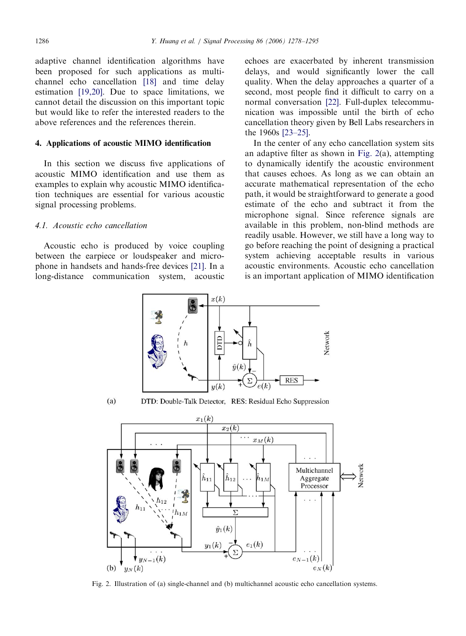<span id="page-8-0"></span>adaptive channel identification algorithms have been proposed for such applications as multichannel echo cancellation [\[18\]](#page-16-0) and time delay estimation [\[19,20\].](#page-16-0) Due to space limitations, we cannot detail the discussion on this important topic but would like to refer the interested readers to the above references and the references therein.

## 4. Applications of acoustic MIMO identification

In this section we discuss five applications of acoustic MIMO identification and use them as examples to explain why acoustic MIMO identification techniques are essential for various acoustic signal processing problems.

## 4.1. Acoustic echo cancellation

Acoustic echo is produced by voice coupling between the earpiece or loudspeaker and microphone in handsets and hands-free devices [\[21\].](#page-16-0) In a long-distance communication system, acoustic echoes are exacerbated by inherent transmission delays, and would significantly lower the call quality. When the delay approaches a quarter of a second, most people find it difficult to carry on a normal conversation [\[22\]](#page-16-0). Full-duplex telecommunication was impossible until the birth of echo cancellation theory given by Bell Labs researchers in the 1960s [\[23–25\]](#page-16-0).

In the center of any echo cancellation system sits an adaptive filter as shown in Fig. 2(a), attempting to dynamically identify the acoustic environment that causes echoes. As long as we can obtain an accurate mathematical representation of the echo path, it would be straightforward to generate a good estimate of the echo and subtract it from the microphone signal. Since reference signals are available in this problem, non-blind methods are readily usable. However, we still have a long way to go before reaching the point of designing a practical system achieving acceptable results in various acoustic environments. Acoustic echo cancellation is an important application of MIMO identification



Fig. 2. Illustration of (a) single-channel and (b) multichannel acoustic echo cancellation systems.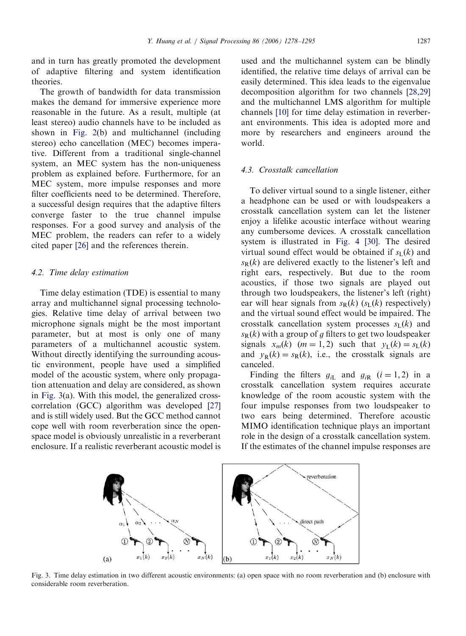and in turn has greatly promoted the development of adaptive filtering and system identification theories.

The growth of bandwidth for data transmission makes the demand for immersive experience more reasonable in the future. As a result, multiple (at least stereo) audio channels have to be included as shown in [Fig. 2](#page-8-0)(b) and multichannel (including stereo) echo cancellation (MEC) becomes imperative. Different from a traditional single-channel system, an MEC system has the non-uniqueness problem as explained before. Furthermore, for an MEC system, more impulse responses and more filter coefficients need to be determined. Therefore, a successful design requires that the adaptive filters converge faster to the true channel impulse responses. For a good survey and analysis of the MEC problem, the readers can refer to a widely cited paper [\[26\]](#page-16-0) and the references therein.

#### 4.2. Time delay estimation

Time delay estimation (TDE) is essential to many array and multichannel signal processing technologies. Relative time delay of arrival between two microphone signals might be the most important parameter, but at most is only one of many parameters of a multichannel acoustic system. Without directly identifying the surrounding acoustic environment, people have used a simplified model of the acoustic system, where only propagation attenuation and delay are considered, as shown in Fig. 3(a). With this model, the generalized crosscorrelation (GCC) algorithm was developed [\[27\]](#page-16-0) and is still widely used. But the GCC method cannot cope well with room reverberation since the openspace model is obviously unrealistic in a reverberant enclosure. If a realistic reverberant acoustic model is

used and the multichannel system can be blindly identified, the relative time delays of arrival can be easily determined. This idea leads to the eigenvalue decomposition algorithm for two channels [\[28,29\]](#page-16-0) and the multichannel LMS algorithm for multiple channels [\[10\]](#page-15-0) for time delay estimation in reverberant environments. This idea is adopted more and more by researchers and engineers around the world.

## 4.3. Crosstalk cancellation

To deliver virtual sound to a single listener, either a headphone can be used or with loudspeakers a crosstalk cancellation system can let the listener enjoy a lifelike acoustic interface without wearing any cumbersome devices. A crosstalk cancellation system is illustrated in [Fig. 4](#page-10-0) [\[30\].](#page-16-0) The desired virtual sound effect would be obtained if  $s<sub>L</sub>(k)$  and  $s_{\rm R}(k)$  are delivered exactly to the listener's left and right ears, respectively. But due to the room acoustics, if those two signals are played out through two loudspeakers, the listener's left (right) ear will hear signals from  $s_R(k)$  ( $s_L(k)$  respectively) and the virtual sound effect would be impaired. The crosstalk cancellation system processes  $s_L(k)$  and  $s_R(k)$  with a group of g filters to get two loudspeaker signals  $x_m(k)$  ( $m = 1, 2$ ) such that  $y_L(k) = s_L(k)$ and  $y_R(k) = s_R(k)$ , i.e., the crosstalk signals are canceled.

Finding the filters  $g_{i\text{L}}$  and  $g_{i\text{R}}$   $(i = 1, 2)$  in a crosstalk cancellation system requires accurate knowledge of the room acoustic system with the four impulse responses from two loudspeaker to two ears being determined. Therefore acoustic MIMO identification technique plays an important role in the design of a crosstalk cancellation system. If the estimates of the channel impulse responses are



Fig. 3. Time delay estimation in two different acoustic environments: (a) open space with no room reverberation and (b) enclosure with considerable room reverberation.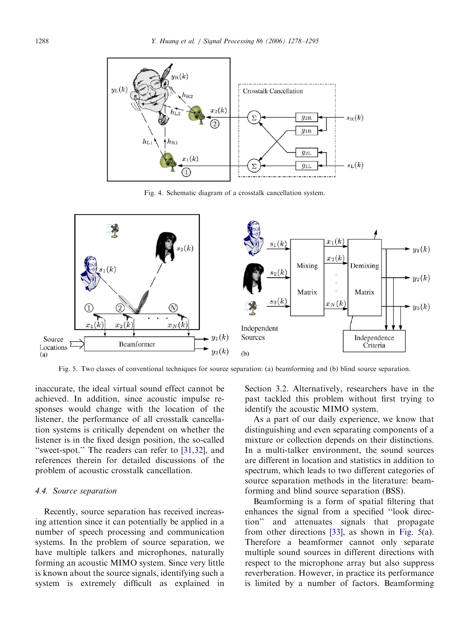<span id="page-10-0"></span>

Fig. 4. Schematic diagram of a crosstalk cancellation system.



Fig. 5. Two classes of conventional techniques for source separation: (a) beamforming and (b) blind source separation.

inaccurate, the ideal virtual sound effect cannot be achieved. In addition, since acoustic impulse responses would change with the location of the listener, the performance of all crosstalk cancellation systems is critically dependent on whether the listener is in the fixed design position, the so-called "sweet-spot." The readers can refer to [\[31,32\],](#page-16-0) and references therein for detailed discussions of the problem of acoustic crosstalk cancellation.

#### 4.4. Source separation

Recently, source separation has received increasing attention since it can potentially be applied in a number of speech processing and communication systems. In the problem of source separation, we have multiple talkers and microphones, naturally forming an acoustic MIMO system. Since very little is known about the source signals, identifying such a system is extremely difficult as explained in Section 3.2. Alternatively, researchers have in the past tackled this problem without first trying to identify the acoustic MIMO system.

As a part of our daily experience, we know that distinguishing and even separating components of a mixture or collection depends on their distinctions. In a multi-talker environment, the sound sources are different in location and statistics in addition to spectrum, which leads to two different categories of source separation methods in the literature: beamforming and blind source separation (BSS).

Beamforming is a form of spatial filtering that enhances the signal from a specified ''look direction'' and attenuates signals that propagate from other directions [\[33\],](#page-16-0) as shown in Fig. 5(a). Therefore a beamformer cannot only separate multiple sound sources in different directions with respect to the microphone array but also suppress reverberation. However, in practice its performance is limited by a number of factors. Beamforming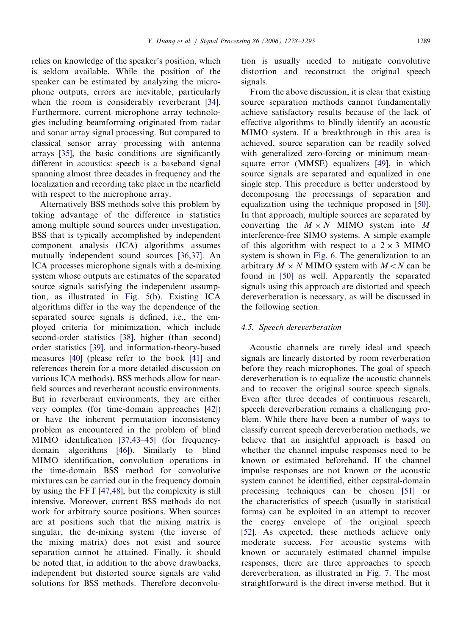relies on knowledge of the speaker's position, which is seldom available. While the position of the speaker can be estimated by analyzing the microphone outputs, errors are inevitable, particularly when the room is considerably reverberant [\[34\]](#page-16-0). Furthermore, current microphone array technologies including beamforming originated from radar and sonar array signal processing. But compared to classical sensor array processing with antenna arrays [\[35\]](#page-16-0), the basic conditions are significantly different in acoustics: speech is a baseband signal spanning almost three decades in frequency and the localization and recording take place in the nearfield with respect to the microphone array.

Alternatively BSS methods solve this problem by taking advantage of the difference in statistics among multiple sound sources under investigation. BSS that is typically accomplished by independent component analysis (ICA) algorithms assumes mutually independent sound sources [\[36,37\]](#page-16-0). An ICA processes microphone signals with a de-mixing system whose outputs are estimates of the separated source signals satisfying the independent assumption, as illustrated in [Fig. 5](#page-10-0)(b). Existing ICA algorithms differ in the way the dependence of the separated source signals is defined, i.e., the employed criteria for minimization, which include second-order statistics [\[38\],](#page-16-0) higher (than second) order statistics [\[39\],](#page-16-0) and information-theory-based measures [\[40\]](#page-16-0) (please refer to the book [\[41\]](#page-16-0) and references therein for a more detailed discussion on various ICA methods). BSS methods allow for nearfield sources and reverberant acoustic environments. But in reverberant environments, they are either very complex (for time-domain approaches [\[42\]\)](#page-16-0) or have the inherent permutation inconsistency problem as encountered in the problem of blind MIMO identification [\[37,43–45\]](#page-16-0) (for frequencydomain algorithms [\[46\]](#page-16-0)). Similarly to blind MIMO identification, convolution operations in the time-domain BSS method for convolutive mixtures can be carried out in the frequency domain by using the FFT [\[47,48\],](#page-16-0) but the complexity is still intensive. Moreover, current BSS methods do not work for arbitrary source positions. When sources are at positions such that the mixing matrix is singular, the de-mixing system (the inverse of the mixing matrix) does not exist and source separation cannot be attained. Finally, it should be noted that, in addition to the above drawbacks, independent but distorted source signals are valid solutions for BSS methods. Therefore deconvolution is usually needed to mitigate convolutive distortion and reconstruct the original speech signals.

From the above discussion, it is clear that existing source separation methods cannot fundamentally achieve satisfactory results because of the lack of effective algorithms to blindly identify an acoustic MIMO system. If a breakthrough in this area is achieved, source separation can be readily solved with generalized zero-forcing or minimum meansquare error (MMSE) equalizers [\[49\],](#page-17-0) in which source signals are separated and equalized in one single step. This procedure is better understood by decomposing the processings of separation and equalization using the technique proposed in [\[50\]](#page-17-0). In that approach, multiple sources are separated by converting the  $M \times N$  MIMO system into M interference-free SIMO systems. A simple example of this algorithm with respect to a  $2 \times 3$  MIMO system is shown in [Fig. 6](#page-12-0). The generalization to an arbitrary  $M \times N$  MIMO system with  $M < N$  can be found in [\[50\]](#page-17-0) as well. Apparently the separated signals using this approach are distorted and speech dereverberation is necessary, as will be discussed in the following section.

### 4.5. Speech dereverberation

Acoustic channels are rarely ideal and speech signals are linearly distorted by room reverberation before they reach microphones. The goal of speech dereverberation is to equalize the acoustic channels and to recover the original source speech signals. Even after three decades of continuous research, speech dereverberation remains a challenging problem. While there have been a number of ways to classify current speech dereverberation methods, we believe that an insightful approach is based on whether the channel impulse responses need to be known or estimated beforehand. If the channel impulse responses are not known or the acoustic system cannot be identified, either cepstral-domain processing techniques can be chosen [\[51\]](#page-17-0) or the characteristics of speech (usually in statistical forms) can be exploited in an attempt to recover the energy envelope of the original speech [\[52\]](#page-17-0). As expected, these methods achieve only moderate success. For acoustic systems with known or accurately estimated channel impulse responses, there are three approaches to speech dereverberation, as illustrated in [Fig. 7.](#page-12-0) The most straightforward is the direct inverse method. But it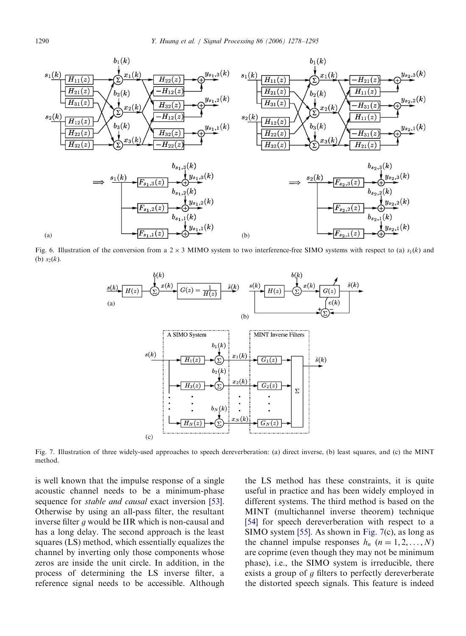<span id="page-12-0"></span>

Fig. 6. Illustration of the conversion from a  $2 \times 3$  MIMO system to two interference-free SIMO systems with respect to (a)  $s_1(k)$  and (b)  $s_2(k)$ .



Fig. 7. Illustration of three widely-used approaches to speech dereverberation: (a) direct inverse, (b) least squares, and (c) the MINT method.

is well known that the impulse response of a single acoustic channel needs to be a minimum-phase sequence for *stable and causal* exact inversion [\[53\].](#page-17-0) Otherwise by using an all-pass filter, the resultant inverse filter  $g$  would be IIR which is non-causal and has a long delay. The second approach is the least squares (LS) method, which essentially equalizes the channel by inverting only those components whose zeros are inside the unit circle. In addition, in the process of determining the LS inverse filter, a reference signal needs to be accessible. Although

the LS method has these constraints, it is quite useful in practice and has been widely employed in different systems. The third method is based on the MINT (multichannel inverse theorem) technique [\[54\]](#page-17-0) for speech dereverberation with respect to a SIMO system [\[55\].](#page-17-0) As shown in Fig. 7(c), as long as the channel impulse responses  $h_n$   $(n = 1, 2, \ldots, N)$ are coprime (even though they may not be minimum phase), i.e., the SIMO system is irreducible, there exists a group of g filters to perfectly dereverberate the distorted speech signals. This feature is indeed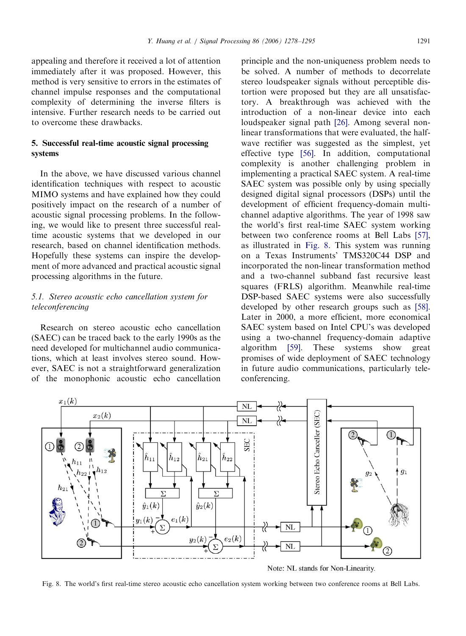appealing and therefore it received a lot of attention immediately after it was proposed. However, this method is very sensitive to errors in the estimates of channel impulse responses and the computational complexity of determining the inverse filters is intensive. Further research needs to be carried out to overcome these drawbacks.

# 5. Successful real-time acoustic signal processing systems

In the above, we have discussed various channel identification techniques with respect to acoustic MIMO systems and have explained how they could positively impact on the research of a number of acoustic signal processing problems. In the following, we would like to present three successful realtime acoustic systems that we developed in our research, based on channel identification methods. Hopefully these systems can inspire the development of more advanced and practical acoustic signal processing algorithms in the future.

# 5.1. Stereo acoustic echo cancellation system for teleconferencing

Research on stereo acoustic echo cancellation (SAEC) can be traced back to the early 1990s as the need developed for multichannel audio communications, which at least involves stereo sound. However, SAEC is not a straightforward generalization of the monophonic acoustic echo cancellation

principle and the non-uniqueness problem needs to be solved. A number of methods to decorrelate stereo loudspeaker signals without perceptible distortion were proposed but they are all unsatisfactory. A breakthrough was achieved with the introduction of a non-linear device into each loudspeaker signal path [\[26\]](#page-16-0). Among several nonlinear transformations that were evaluated, the halfwave rectifier was suggested as the simplest, yet effective type [\[56\].](#page-17-0) In addition, computational complexity is another challenging problem in implementing a practical SAEC system. A real-time SAEC system was possible only by using specially designed digital signal processors (DSPs) until the development of efficient frequency-domain multichannel adaptive algorithms. The year of 1998 saw the world's first real-time SAEC system working between two conference rooms at Bell Labs [\[57\]](#page-17-0), as illustrated in Fig. 8. This system was running on a Texas Instruments' TMS320C44 DSP and incorporated the non-linear transformation method and a two-channel subband fast recursive least squares (FRLS) algorithm. Meanwhile real-time DSP-based SAEC systems were also successfully developed by other research groups such as [\[58\]](#page-17-0). Later in 2000, a more efficient, more economical SAEC system based on Intel CPU's was developed using a two-channel frequency-domain adaptive algorithm [\[59\]](#page-17-0). These systems show great promises of wide deployment of SAEC technology in future audio communications, particularly teleconferencing.



Fig. 8. The world's first real-time stereo acoustic echo cancellation system working between two conference rooms at Bell Labs.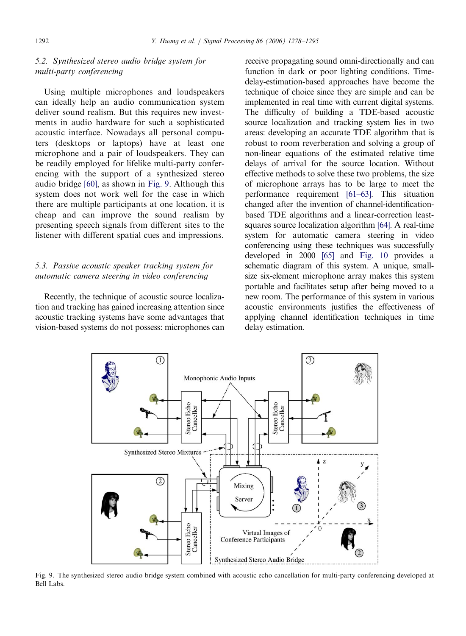# 5.2. Synthesized stereo audio bridge system for multi-party conferencing

Using multiple microphones and loudspeakers can ideally help an audio communication system deliver sound realism. But this requires new investments in audio hardware for such a sophisticated acoustic interface. Nowadays all personal computers (desktops or laptops) have at least one microphone and a pair of loudspeakers. They can be readily employed for lifelike multi-party conferencing with the support of a synthesized stereo audio bridge [\[60\],](#page-17-0) as shown in Fig. 9. Although this system does not work well for the case in which there are multiple participants at one location, it is cheap and can improve the sound realism by presenting speech signals from different sites to the listener with different spatial cues and impressions.

# 5.3. Passive acoustic speaker tracking system for automatic camera steering in video conferencing

Recently, the technique of acoustic source localization and tracking has gained increasing attention since acoustic tracking systems have some advantages that vision-based systems do not possess: microphones can

receive propagating sound omni-directionally and can function in dark or poor lighting conditions. Timedelay-estimation-based approaches have become the technique of choice since they are simple and can be implemented in real time with current digital systems. The difficulty of building a TDE-based acoustic source localization and tracking system lies in two areas: developing an accurate TDE algorithm that is robust to room reverberation and solving a group of non-linear equations of the estimated relative time delays of arrival for the source location. Without effective methods to solve these two problems, the size of microphone arrays has to be large to meet the performance requirement [\[61–63\].](#page-17-0) This situation changed after the invention of channel-identificationbased TDE algorithms and a linear-correction leastsquares source localization algorithm [\[64\].](#page-17-0) A real-time system for automatic camera steering in video conferencing using these techniques was successfully developed in 2000 [\[65\]](#page-17-0) and [Fig. 10](#page-15-0) provides a schematic diagram of this system. A unique, smallsize six-element microphone array makes this system portable and facilitates setup after being moved to a new room. The performance of this system in various acoustic environments justifies the effectiveness of applying channel identification techniques in time delay estimation.



Fig. 9. The synthesized stereo audio bridge system combined with acoustic echo cancellation for multi-party conferencing developed at Bell Labs.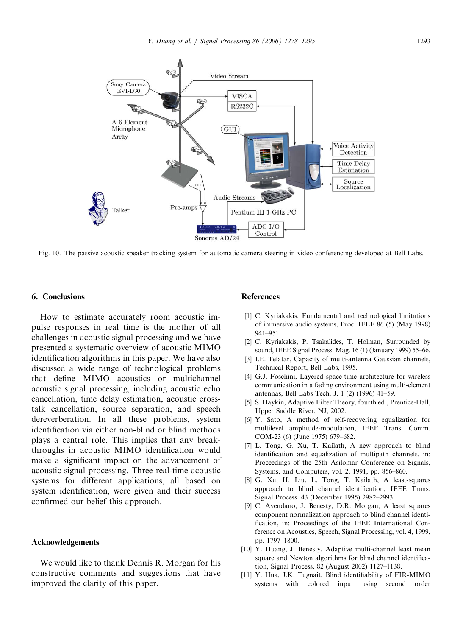<span id="page-15-0"></span>

Fig. 10. The passive acoustic speaker tracking system for automatic camera steering in video conferencing developed at Bell Labs.

#### 6. Conclusions

How to estimate accurately room acoustic impulse responses in real time is the mother of all challenges in acoustic signal processing and we have presented a systematic overview of acoustic MIMO identification algorithms in this paper. We have also discussed a wide range of technological problems that define MIMO acoustics or multichannel acoustic signal processing, including acoustic echo cancellation, time delay estimation, acoustic crosstalk cancellation, source separation, and speech dereverberation. In all these problems, system identification via either non-blind or blind methods plays a central role. This implies that any breakthroughs in acoustic MIMO identification would make a significant impact on the advancement of acoustic signal processing. Three real-time acoustic systems for different applications, all based on system identification, were given and their success confirmed our belief this approach.

## Acknowledgements

We would like to thank Dennis R. Morgan for his constructive comments and suggestions that have improved the clarity of this paper.

# **References**

- [1] C. Kyriakakis, Fundamental and technological limitations of immersive audio systems, Proc. IEEE 86 (5) (May 1998) 941–951.
- [2] C. Kyriakakis, P. Tsakalides, T. Holman, Surrounded by sound, IEEE Signal Process. Mag. 16 (1) (January 1999) 55–66.
- [3] I.E. Telatar, Capacity of multi-antenna Gaussian channels, Technical Report, Bell Labs, 1995.
- [4] G.J. Foschini, Layered space-time architecture for wireless communication in a fading environment using multi-element antennas, Bell Labs Tech. J. 1 (2) (1996) 41–59.
- [5] S. Haykin, Adaptive Filter Theory, fourth ed., Prentice-Hall, Upper Saddle River, NJ, 2002.
- [6] Y. Sato, A method of self-recovering equalization for multilevel amplitude-modulation, IEEE Trans. Comm. COM-23 (6) (June 1975) 679–682.
- [7] L. Tong, G. Xu, T. Kailath, A new approach to blind identification and equalization of multipath channels, in: Proceedings of the 25th Asilomar Conference on Signals, Systems, and Computers, vol. 2, 1991, pp. 856–860.
- [8] G. Xu, H. Liu, L. Tong, T. Kailath, A least-squares approach to blind channel identification, IEEE Trans. Signal Process. 43 (December 1995) 2982–2993.
- [9] C. Avendano, J. Benesty, D.R. Morgan, A least squares component normalization approach to blind channel identification, in: Proceedings of the IEEE International Conference on Acoustics, Speech, Signal Processing, vol. 4, 1999, pp. 1797–1800.
- [10] Y. Huang, J. Benesty, Adaptive multi-channel least mean square and Newton algorithms for blind channel identification, Signal Process. 82 (August 2002) 1127–1138.
- [11] Y. Hua, J.K. Tugnait, Blind identifiability of FIR-MIMO systems with colored input using second order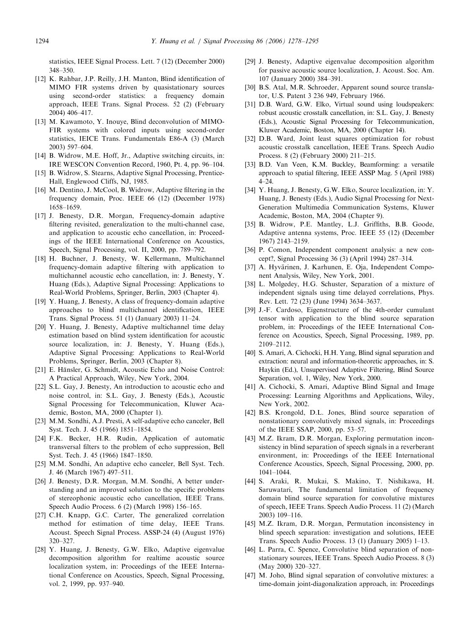<span id="page-16-0"></span>statistics, IEEE Signal Process. Lett. 7 (12) (December 2000) 348–350.

- [12] K. Rahbar, J.P. Reilly, J.H. Manton, Blind identification of MIMO FIR systems driven by quasistationary sources using second-order statistics: a frequency domain approach, IEEE Trans. Signal Process. 52 (2) (February 2004) 406–417.
- [13] M. Kawamoto, Y. Inouye, Blind deconvolution of MIMO-FIR systems with colored inputs using second-order statistics, IEICE Trans. Fundamentals E86-A (3) (March 2003) 597–604.
- [14] B. Widrow, M.E. Hoff, Jr., Adaptive switching circuits, in: IRE WESCON Convention Record, 1960, Pt. 4, pp. 96–104.
- [15] B. Widrow, S. Stearns, Adaptive Signal Processing, Prentice-Hall, Englewood Cliffs, NJ, 1985.
- [16] M. Dentino, J. McCool, B. Widrow, Adaptive filtering in the frequency domain, Proc. IEEE 66 (12) (December 1978) 1658–1659.
- [17] J. Benesty, D.R. Morgan, Frequency-domain adaptive filtering revisited, generalization to the multi-channel case, and application to acoustic echo cancellation, in: Proceedings of the IEEE International Conference on Acoustics, Speech, Signal Processing, vol. II, 2000, pp. 789–792.
- [18] H. Buchner, J. Benesty, W. Kellermann, Multichannel frequency-domain adaptive filtering with application to multichannel acoustic echo cancellation, in: J. Benesty, Y. Huang (Eds.), Adaptive Signal Processing: Applications to Real-World Problems, Springer, Berlin, 2003 (Chapter 4).
- [19] Y. Huang, J. Benesty, A class of frequency-domain adaptive approaches to blind multichannel identification, IEEE Trans. Signal Process. 51 (1) (January 2003) 11–24.
- [20] Y. Huang, J. Benesty, Adaptive multichannel time delay estimation based on blind system identification for acoustic source localization, in: J. Benesty, Y. Huang (Eds.), Adaptive Signal Processing: Applications to Real-World Problems, Springer, Berlin, 2003 (Chapter 8).
- [21] E. Hänsler, G. Schmidt, Acoustic Echo and Noise Control: A Practical Approach, Wiley, New York, 2004.
- [22] S.L. Gay, J. Benesty, An introduction to acoustic echo and noise control, in: S.L. Gay, J. Benesty (Eds.), Acoustic Signal Processing for Telecommunication, Kluwer Academic, Boston, MA, 2000 (Chapter 1).
- [23] M.M. Sondhi, A.J. Presti, A self-adaptive echo canceler, Bell Syst. Tech. J. 45 (1966) 1851–1854.
- [24] F.K. Becker, H.R. Rudin, Application of automatic transversal filters to the problem of echo suppression, Bell Syst. Tech. J. 45 (1966) 1847–1850.
- [25] M.M. Sondhi, An adaptive echo canceler, Bell Syst. Tech. J. 46 (March 1967) 497–511.
- [26] J. Benesty, D.R. Morgan, M.M. Sondhi, A better understanding and an improved solution to the specific problems of stereophonic acoustic echo cancellation, IEEE Trans. Speech Audio Process. 6 (2) (March 1998) 156–165.
- [27] C.H. Knapp, G.C. Carter, The generalized correlation method for estimation of time delay, IEEE Trans. Acoust. Speech Signal Process. ASSP-24 (4) (August 1976) 320–327.
- [28] Y. Huang, J. Benesty, G.W. Elko, Adaptive eigenvalue decomposition algorithm for realtime acoustic source localization system, in: Proceedings of the IEEE International Conference on Acoustics, Speech, Signal Processing, vol. 2, 1999, pp. 937–940.
- [29] J. Benesty, Adaptive eigenvalue decomposition algorithm for passive acoustic source localization, J. Acoust. Soc. Am. 107 (January 2000) 384–391.
- [30] B.S. Atal, M.R. Schroeder, Apparent sound source translator, U.S. Patent 3 236 949, February 1966.
- [31] D.B. Ward, G.W. Elko, Virtual sound using loudspeakers: robust acoustic crosstalk cancellation, in: S.L. Gay, J. Benesty (Eds.), Acoustic Signal Processing for Telecommunication, Kluwer Academic, Boston, MA, 2000 (Chapter 14).
- [32] D.B. Ward, Joint least squares optimization for robust acoustic crosstalk cancellation, IEEE Trans. Speech Audio Process. 8 (2) (February 2000) 211–215.
- [33] B.D. Van Veen, K.M. Buckley, Beamforming: a versatile approach to spatial filtering, IEEE ASSP Mag. 5 (April 1988) 4–24.
- [34] Y. Huang, J. Benesty, G.W. Elko, Source localization, in: Y. Huang, J. Benesty (Eds.), Audio Signal Processing for Next-Generation Multimedia Communication Systems, Kluwer Academic, Boston, MA, 2004 (Chapter 9).
- [35] B. Widrow, P.E. Mantley, L.J. Griffiths, B.B. Goode, Adaptive antenna systems, Proc. IEEE 55 (12) (December 1967) 2143–2159.
- [36] P. Comon, Independent component analysis: a new concept?, Signal Processing 36 (3) (April 1994) 287–314.
- [37] A. Hyvärinen, J. Karhunen, E. Oja, Independent Component Analysis, Wiley, New York, 2001.
- [38] L. Molgedey, H.G. Schuster, Separation of a mixture of independent signals using time delayed correlations, Phys. Rev. Lett. 72 (23) (June 1994) 3634–3637.
- [39] J.-F. Cardoso, Eigenstructure of the 4th-order cumulant tensor with application to the blind source separation problem, in: Proceedings of the IEEE International Conference on Acoustics, Speech, Signal Processing, 1989, pp. 2109–2112.
- [40] S. Amari, A. Cichocki, H.H. Yang, Blind signal separation and extraction: neural and information-theoretic approaches, in: S. Haykin (Ed.), Unsupervised Adaptive Filtering, Blind Source Separation, vol. 1, Wiley, New York, 2000.
- [41] A. Cichocki, S. Amari, Adaptive Blind Signal and Image Processing: Learning Algorithms and Applications, Wiley, New York, 2002.
- [42] B.S. Krongold, D.L. Jones, Blind source separation of nonstationary convolutively mixed signals, in: Proceedings of the IEEE SSAP, 2000, pp. 53–57.
- [43] M.Z. Ikram, D.R. Morgan, Exploring permutation inconsistency in blind separation of speech signals in a reverberant environment, in: Proceedings of the IEEE International Conference Acoustics, Speech, Signal Processing, 2000, pp. 1041–1044.
- [44] S. Araki, R. Mukai, S. Makino, T. Nishikawa, H. Saruwatari, The fundamental limitation of frequency domain blind source separation for convolutive mixtures of speech, IEEE Trans. Speech Audio Process. 11 (2) (March 2003) 109–116.
- [45] M.Z. Ikram, D.R. Morgan, Permutation inconsistency in blind speech separation: investigation and solutions, IEEE Trans. Speech Audio Process. 13 (1) (January 2005) 1–13.
- [46] L. Parra, C. Spence, Convolutive blind separation of nonstationary sources, IEEE Trans. Speech Audio Process. 8 (3) (May 2000) 320–327.
- [47] M. Joho, Blind signal separation of convolutive mixtures: a time-domain joint-diagonalization approach, in: Proceedings